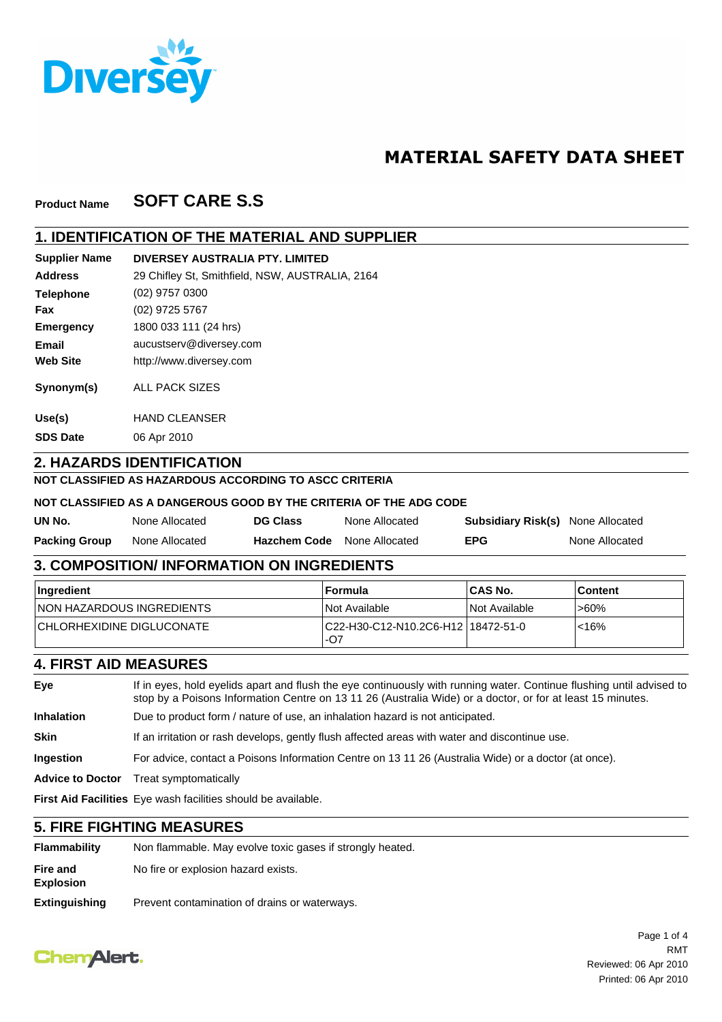

# **MATERIAL SAFETY DATA SHEET**

#### **SOFT CARE S.S Product Name**

### **1. IDENTIFICATION OF THE MATERIAL AND SUPPLIER**

**DIVERSEY AUSTRALIA PTY. LIMITED Supplier Name**

| <b>Address</b>   | 29 Chifley St, Smithfield, NSW, AUSTRALIA, 2164 |
|------------------|-------------------------------------------------|
| <b>Telephone</b> | (02) 9757 0300                                  |
| Fax              | (02) 9725 5767                                  |
| <b>Emergency</b> | 1800 033 111 (24 hrs)                           |
| Email            | aucustserv@diversey.com                         |
| <b>Web Site</b>  | http://www.diversey.com                         |
| Synonym(s)       | ALL PACK SIZES                                  |
| Use(s)           | <b>HAND CLEANSER</b>                            |
| <b>SDS Date</b>  | 06 Apr 2010                                     |

**2. HAZARDS IDENTIFICATION**

# **NOT CLASSIFIED AS HAZARDOUS ACCORDING TO ASCC CRITERIA**

#### **NOT CLASSIFIED AS A DANGEROUS GOOD BY THE CRITERIA OF THE ADG CODE**

| UN No.               | None Allocated | <b>DG Class</b>     | None Allocated | <b>Subsidiary Risk(s)</b> None Allocated |                |
|----------------------|----------------|---------------------|----------------|------------------------------------------|----------------|
| <b>Packing Group</b> | None Allocated | <b>Hazchem Code</b> | None Allocated | <b>EPG</b>                               | None Allocated |

### **3. COMPOSITION/ INFORMATION ON INGREDIENTS**

| ∣Ingredient                       | ⊺Formula                                     | <b>ICAS No.</b> | l Content |
|-----------------------------------|----------------------------------------------|-----------------|-----------|
| <b>INON HAZARDOUS INGREDIENTS</b> | <i><b>Not Available</b></i>                  | INot Available  | '>60%     |
| <b>CHLORHEXIDINE DIGLUCONATE</b>  | C22-H30-C12-N10.2C6-H12   18472-51-0<br>.-O7 |                 | $< 16\%$  |

### **4. FIRST AID MEASURES**

| Eye                     | If in eyes, hold eyelids apart and flush the eye continuously with running water. Continue flushing until advised to<br>stop by a Poisons Information Centre on 13 11 26 (Australia Wide) or a doctor, or for at least 15 minutes. |
|-------------------------|------------------------------------------------------------------------------------------------------------------------------------------------------------------------------------------------------------------------------------|
| <b>Inhalation</b>       | Due to product form / nature of use, an inhalation hazard is not anticipated.                                                                                                                                                      |
| <b>Skin</b>             | If an irritation or rash develops, gently flush affected areas with water and discontinue use.                                                                                                                                     |
| <b>Ingestion</b>        | For advice, contact a Poisons Information Centre on 13 11 26 (Australia Wide) or a doctor (at once).                                                                                                                               |
| <b>Advice to Doctor</b> | Treat symptomatically                                                                                                                                                                                                              |
|                         | <b>First Aid Facilities</b> Eye wash facilities should be available.                                                                                                                                                               |

#### **5. FIRE FIGHTING MEASURES**

| Flammability                 | Non flammable. May evolve toxic gases if strongly heated. |
|------------------------------|-----------------------------------------------------------|
| Fire and<br><b>Explosion</b> | No fire or explosion hazard exists.                       |
| <b>Extinguishing</b>         | Prevent contamination of drains or waterways.             |

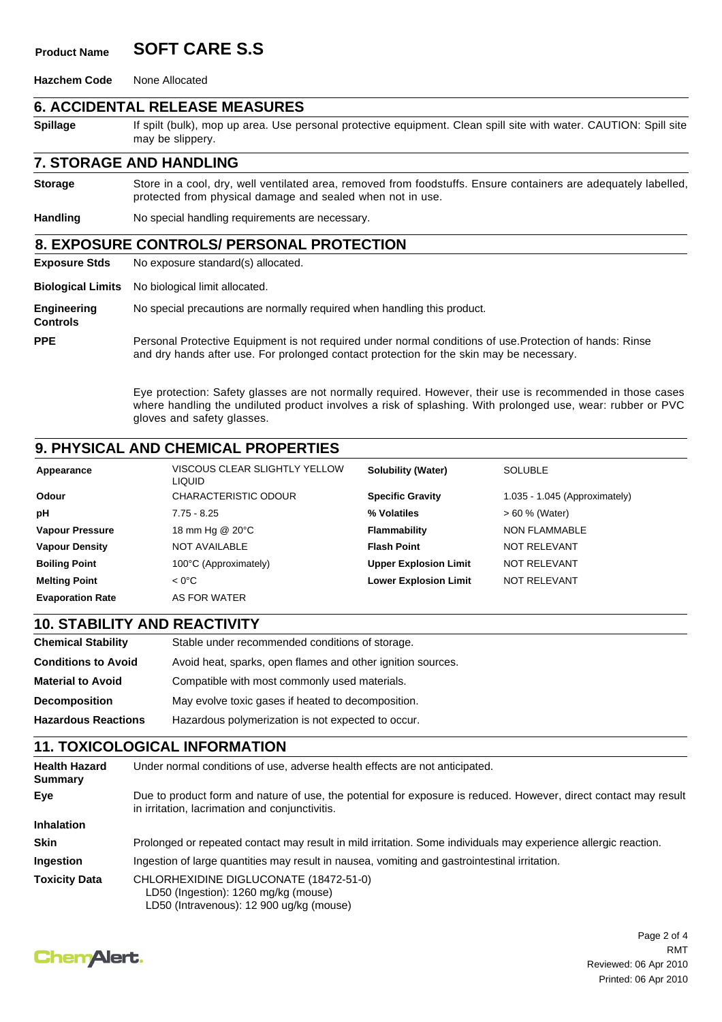# **Product Name SOFT CARE S.S**

**Hazchem Code** None Allocated

### **6. ACCIDENTAL RELEASE MEASURES**

may be slippery.

**Controls**

**Spillage** If spilt (bulk), mop up area. Use personal protective equipment. Clean spill site with water. CAUTION: Spill site

#### **7. STORAGE AND HANDLING**

Store in a cool, dry, well ventilated area, removed from foodstuffs. Ensure containers are adequately labelled, protected from physical damage and sealed when not in use. **Storage**

**Handling** No special handling requirements are necessary.

### **8. EXPOSURE CONTROLS/ PERSONAL PROTECTION**

**Exposure Stds** No exposure standard(s) allocated.

**Biological Limits** No biological limit allocated.

**Engineering** No special precautions are normally required when handling this product.

Personal Protective Equipment is not required under normal conditions of use.Protection of hands: Rinse and dry hands after use. For prolonged contact protection for the skin may be necessary. **PPE**

> Eye protection: Safety glasses are not normally required. However, their use is recommended in those cases where handling the undiluted product involves a risk of splashing. With prolonged use, wear: rubber or PVC gloves and safety glasses.

# **9. PHYSICAL AND CHEMICAL PROPERTIES**

| Appearance              | VISCOUS CLEAR SLIGHTLY YELLOW<br><b>LIQUID</b> | <b>Solubility (Water)</b>    | <b>SOLUBLE</b>                  |
|-------------------------|------------------------------------------------|------------------------------|---------------------------------|
| Odour                   | <b>CHARACTERISTIC ODOUR</b>                    | <b>Specific Gravity</b>      | $1.035 - 1.045$ (Approximately) |
| pH                      | $7.75 - 8.25$                                  | % Volatiles                  | $> 60 %$ (Water)                |
| <b>Vapour Pressure</b>  | 18 mm Hg @ 20°C                                | Flammability                 | <b>NON FLAMMABLE</b>            |
| <b>Vapour Density</b>   | NOT AVAILABLE                                  | <b>Flash Point</b>           | NOT RELEVANT                    |
| <b>Boiling Point</b>    | 100°C (Approximately)                          | <b>Upper Explosion Limit</b> | NOT RELEVANT                    |
| <b>Melting Point</b>    | $< 0^{\circ}$ C                                | <b>Lower Explosion Limit</b> | <b>NOT RELEVANT</b>             |
| <b>Evaporation Rate</b> | AS FOR WATER                                   |                              |                                 |

### **10. STABILITY AND REACTIVITY**

| Chemical Stability         | Stable under recommended conditions of storage.             |
|----------------------------|-------------------------------------------------------------|
| <b>Conditions to Avoid</b> | Avoid heat, sparks, open flames and other ignition sources. |
| <b>Material to Avoid</b>   | Compatible with most commonly used materials.               |
| <b>Decomposition</b>       | May evolve toxic gases if heated to decomposition.          |
| <b>Hazardous Reactions</b> | Hazardous polymerization is not expected to occur.          |
|                            |                                                             |

### **11. TOXICOLOGICAL INFORMATION**

| <b>Health Hazard</b><br>Summary | Under normal conditions of use, adverse health effects are not anticipated.                                                                                        |
|---------------------------------|--------------------------------------------------------------------------------------------------------------------------------------------------------------------|
| Eye                             | Due to product form and nature of use, the potential for exposure is reduced. However, direct contact may result<br>in irritation, lacrimation and conjunctivitis. |
| <b>Inhalation</b>               |                                                                                                                                                                    |
| <b>Skin</b>                     | Prolonged or repeated contact may result in mild irritation. Some individuals may experience allergic reaction.                                                    |
| Ingestion                       | Ingestion of large quantities may result in nausea, vomiting and gastrointestinal irritation.                                                                      |
| <b>Toxicity Data</b>            | CHLORHEXIDINE DIGLUCONATE (18472-51-0)<br>LD50 (Ingestion): 1260 mg/kg (mouse)<br>LD50 (Intravenous): 12 900 ug/kg (mouse)                                         |

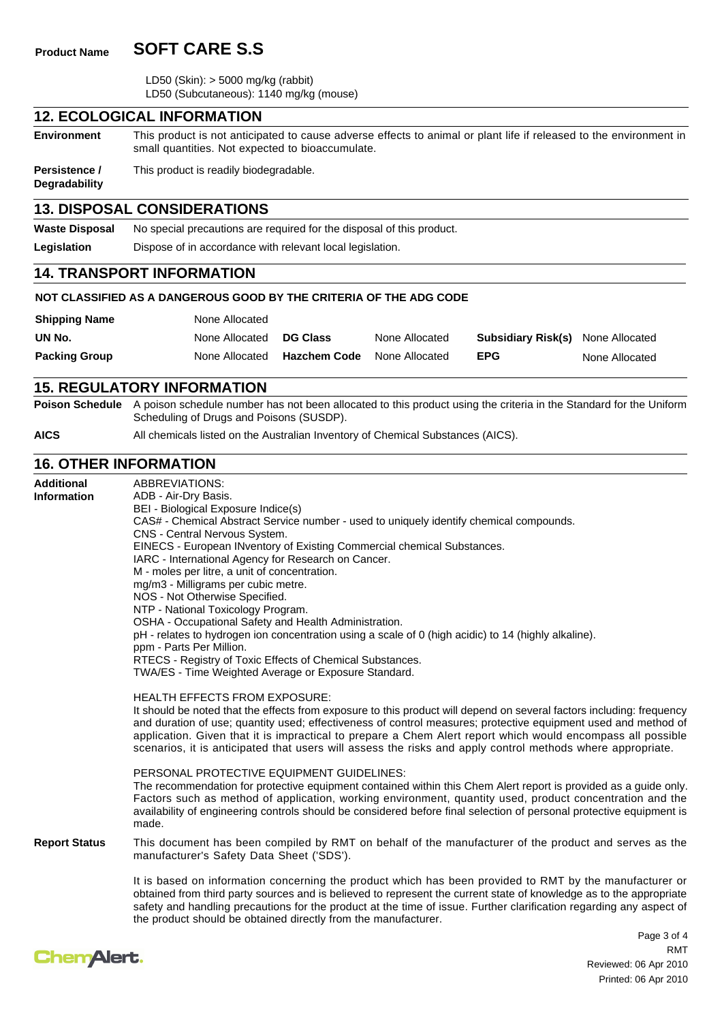# **Product Name SOFT CARE S.S**

 LD50 (Skin): > 5000 mg/kg (rabbit) LD50 (Subcutaneous): 1140 mg/kg (mouse)

### **12. ECOLOGICAL INFORMATION**

**Environment** This product is not anticipated to cause adverse effects to animal or plant life if released to the environment in small quantities. Not expected to bioaccumulate.

**Persistence /** This product is readily biodegradable.

**Degradability**

### **13. DISPOSAL CONSIDERATIONS**

| <b>Waste Disposal</b> | No special precautions are required for the disposal of this product. |
|-----------------------|-----------------------------------------------------------------------|
| Legislation           | Dispose of in accordance with relevant local legislation.             |

#### **14. TRANSPORT INFORMATION**

#### **NOT CLASSIFIED AS A DANGEROUS GOOD BY THE CRITERIA OF THE ADG CODE**

| <b>Shipping Name</b> | None Allocated |                     |                |                                          |                |
|----------------------|----------------|---------------------|----------------|------------------------------------------|----------------|
| UN No.               | None Allocated | <b>DG Class</b>     | None Allocated | <b>Subsidiary Risk(s)</b> None Allocated |                |
| <b>Packing Group</b> | None Allocated | <b>Hazchem Code</b> | None Allocated | <b>EPG</b>                               | None Allocated |

#### **15. REGULATORY INFORMATION**

**Poison Schedule** A poison schedule number has not been allocated to this product using the criteria in the Standard for the Uniform Scheduling of Drugs and Poisons (SUSDP).

**AICS** All chemicals listed on the Australian Inventory of Chemical Substances (AICS).

### **16. OTHER INFORMATION**

**Additional Information** ABBREVIATIONS: ADB - Air-Dry Basis.

BEI - Biological Exposure Indice(s) CAS# - Chemical Abstract Service number - used to uniquely identify chemical compounds. CNS - Central Nervous System. EINECS - European INventory of Existing Commercial chemical Substances. IARC - International Agency for Research on Cancer. M - moles per litre, a unit of concentration. mg/m3 - Milligrams per cubic metre. NOS - Not Otherwise Specified. NTP - National Toxicology Program. OSHA - Occupational Safety and Health Administration. pH - relates to hydrogen ion concentration using a scale of 0 (high acidic) to 14 (highly alkaline). ppm - Parts Per Million. RTECS - Registry of Toxic Effects of Chemical Substances. TWA/ES - Time Weighted Average or Exposure Standard. HEALTH EFFECTS FROM EXPOSURE: It should be noted that the effects from exposure to this product will depend on several factors including: frequency and duration of use; quantity used; effectiveness of control measures; protective equipment used and method of application. Given that it is impractical to prepare a Chem Alert report which would encompass all possible scenarios, it is anticipated that users will assess the risks and apply control methods where appropriate. PERSONAL PROTECTIVE EQUIPMENT GUIDELINES: The recommendation for protective equipment contained within this Chem Alert report is provided as a guide only. Factors such as method of application, working environment, quantity used, product concentration and the availability of engineering controls should be considered before final selection of personal protective equipment is made. **Report Status** This document has been compiled by RMT on behalf of the manufacturer of the product and serves as the manufacturer's Safety Data Sheet ('SDS').

> It is based on information concerning the product which has been provided to RMT by the manufacturer or obtained from third party sources and is believed to represent the current state of knowledge as to the appropriate safety and handling precautions for the product at the time of issue. Further clarification regarding any aspect of the product should be obtained directly from the manufacturer.



Page 3 of 4 Reviewed: 06 Apr 2010 Printed: 06 Apr 2010 RMT